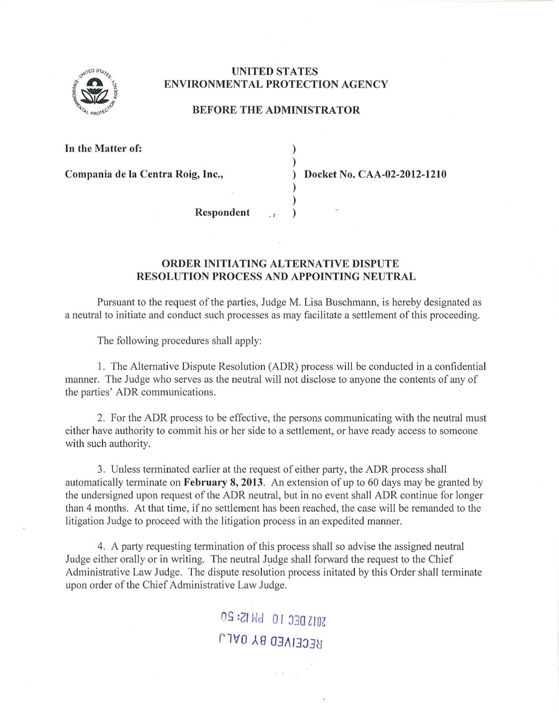

## UNITED STATES ENVIRONMENTAL PROTECTION AGENCY

## BEFORE THE ADMINISTRATOR

) )

) )

In the Matter of:

Compania de la Centra Roig, Inc., (a) Docket No. CAA-02-2012-1210

Respondent

## ORDER INITIATING ALTERNATIVE DISPUTE RESOLUTION PROCESS AND APPOINTING NEUTRAL

Pursuant to the request of the parties, Judge M. Lisa Buschmann, is hereby designated as a neutral to initiate and conduct such processes as may facilitate a settlement of this proceeding.

The following procedures shall apply:

1. The Alternative Dispute Resolution (ADR) process will be conducted in a confidential manner. The Judge who serves as the neutral will not disclose to anyone the contents of any of the parties' ADR communications.

2. For the ADR process to be effective, the persons communicating with the neutral must either have authority to commit his or her side to a settlement, or have ready access to someone with such authority.

3. Unless terminated earlier at the request of either party, the ADR process shall automatically terminate on February 8, 2013. An extension of up to 60 days may be granted by the undersigned upon request of the ADR neutral, but in no event shall ADR continue for longer than 4 months. At that time, if no settlement has been reached, the case will be remanded to the litigation Judge to proceed with the litigation process in an expedited manner.

4. A party requesting termination of this process shall so advise the assigned neutral Judge either orally or in writing. The neutral Judge shall forward the request to the Chief Administrative Law Judge. The dispute resolution process initated by this Order shall terminate upon order of the Chief Administrative Law Judge.

> OS :21 Wd 0 I :J30 ZIOZ **RECEIVED BY 0ALJ**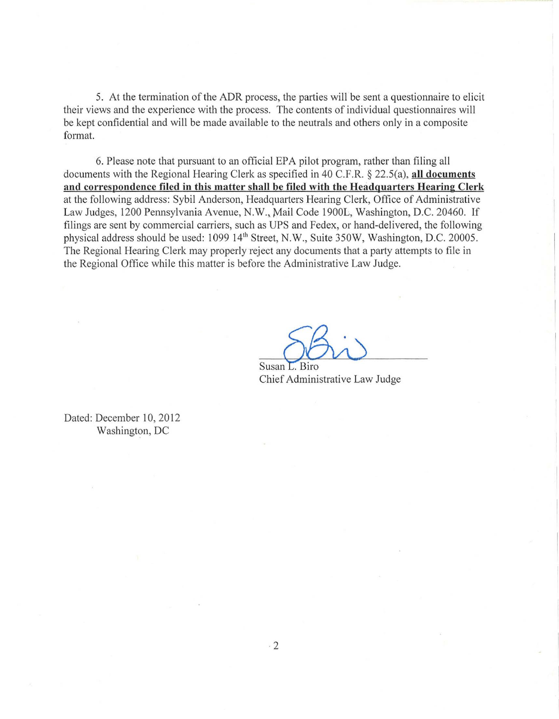5. At the termination of the ADR process, the parties will be sent a questionnaire to elicit their views and the experience with the process. The contents of individual questionnaires will be kept confidential and will be made available to the neutrals and others only in a composite format.

6. Please note that pursuant to an official EPA pilot program, rather than filing all documents with the Regional Hearing Clerk as specified in 40 C.F.R. *§* 22.5(a), **all documents**  and correspondence filed in this matter shall be filed with the Headquarters Hearing Clerk at the following address: Sybil Anderson, Headquarters Hearing Clerk, Office of Administrative Law Judges, 1200 Pennsylvania Avenue, N.W., Mail Code 1900L, Washington, D.C. 20460. If filings are sent by commercial carriers, such as UPS and Fedex, or hand-delivered, the following physical address should be used: 1099 l4<sup>1</sup> h Street, N.W., Suite 350W, Washington, D.C. 20005. The Regional Hearing Clerk may properly reject any documents that a party attempts to file in the Regional Office while this matter is before the Administrative Law Judge.

A<br>D. L. Biro<br>Administrative Law Judge

Ch ief Susan L. Biro

Dated: December 10, 2012 Washington, DC